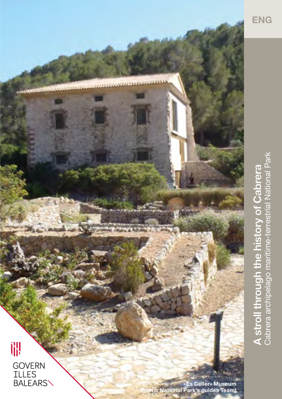

**A stroll through the history of Cabrera**<br>Cabrera archipelago maritime-terrestrial National Park Cabrera archipelago maritime-terrestrial National Park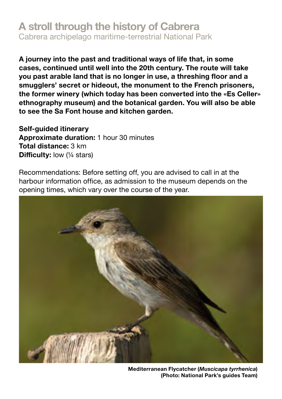## **A stroll through the history of Cabrera**

Cabrera archipelago maritime-terrestrial National Park

**A journey into the past and traditional ways of life that, in some cases, continued until well into the 20th century. The route will take you past arable land that is no longer in use, a threshing floor and a smugglers' secret or hideout, the monument to the French prisoners, the former winery (which today has been converted into the «Es Celler» ethnography museum) and the botanical garden. You will also be able to see the Sa Font house and kitchen garden.** 

**Self-guided itinerary Approximate duration:** 1 hour 30 minutes **Total distance:** 3 km **Difficulty:** low (¼ stars)

Recommendations: Before setting off, you are advised to call in at the harbour information office, as admission to the museum depends on the opening times, which vary over the course of the year.



**Mediterranean Flycatcher (***Muscicapa tyrrhenica***) (Photo: National Park's guides Team)**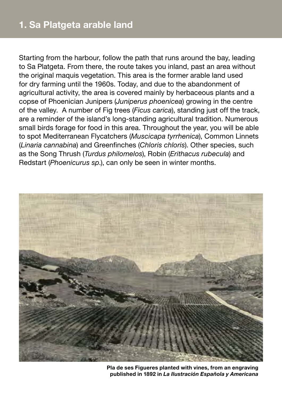Starting from the harbour, follow the path that runs around the bay, leading to Sa Platgeta. From there, the route takes you inland, past an area without the original maquis vegetation. This area is the former arable land used for dry farming until the 1960s. Today, and due to the abandonment of agricultural activity, the area is covered mainly by herbaceous plants and a copse of Phoenician Junipers (*Juniperus phoenicea*) growing in the centre of the valley. A number of Fig trees (*Ficus carica*), standing just off the track, are a reminder of the island's long-standing agricultural tradition. Numerous small birds forage for food in this area. Throughout the year, you will be able to spot Mediterranean Flycatchers (*Muscicapa tyrrhenica*), Common Linnets (*Linaria cannabina*) and Greenfinches (*Chloris chloris*). Other species, such as the Song Thrush (*Turdus philomelos*), Robin (*Erithacus rubecula*) and Redstart (*Phoenicurus sp*.), can only be seen in winter months.



**Pla de ses Figueres planted with vines, from an engraving published in 1892 in** *La Ilustración Española y Americana*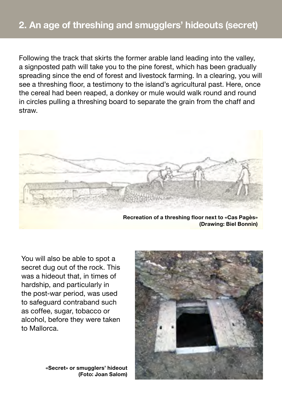Following the track that skirts the former arable land leading into the valley, a signposted path will take you to the pine forest, which has been gradually spreading since the end of forest and livestock farming. In a clearing, you will see a threshing floor, a testimony to the island's agricultural past. Here, once the cereal had been reaped, a donkey or mule would walk round and round in circles pulling a threshing board to separate the grain from the chaff and straw.



You will also be able to spot a secret dug out of the rock. This was a hideout that, in times of hardship, and particularly in the post-war period, was used to safeguard contraband such as coffee, sugar, tobacco or alcohol, before they were taken to Mallorca.

> **«Secret» or smugglers' hideout (Foto: Joan Salom)**

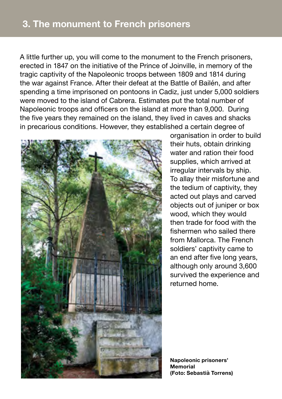A little further up, you will come to the monument to the French prisoners, erected in 1847 on the initiative of the Prince of Joinville, in memory of the tragic captivity of the Napoleonic troops between 1809 and 1814 during the war against France. After their defeat at the Battle of Bailén, and after spending a time imprisoned on pontoons in Cadiz, just under 5,000 soldiers were moved to the island of Cabrera. Estimates put the total number of Napoleonic troops and officers on the island at more than 9,000. During the five years they remained on the island, they lived in caves and shacks in precarious conditions. However, they established a certain degree of



organisation in order to build their huts, obtain drinking water and ration their food supplies, which arrived at irregular intervals by ship. To allay their misfortune and the tedium of captivity, they acted out plays and carved objects out of juniper or box wood, which they would then trade for food with the fishermen who sailed there from Mallorca. The French soldiers' captivity came to an end after five long years, although only around 3,600 survived the experience and returned home.

**Napoleonic prisoners' Memorial (Foto: Sebastià Torrens)**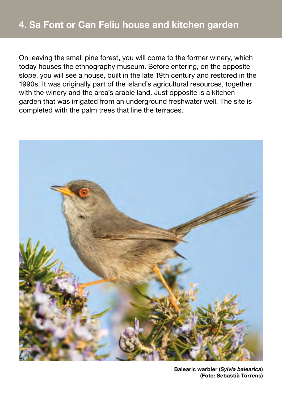On leaving the small pine forest, you will come to the former winery, which today houses the ethnography museum. Before entering, on the opposite slope, you will see a house, built in the late 19th century and restored in the 1990s. It was originally part of the island's agricultural resources, together with the winery and the area's arable land. Just opposite is a kitchen garden that was irrigated from an underground freshwater well. The site is completed with the palm trees that line the terraces.



**Balearic warbler (***Sylvia balearica***) (Foto: Sebastià Torrens)**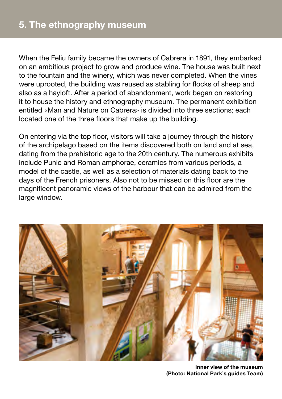When the Feliu family became the owners of Cabrera in 1891, they embarked on an ambitious project to grow and produce wine. The house was built next to the fountain and the winery, which was never completed. When the vines were uprooted, the building was reused as stabling for flocks of sheep and also as a hayloft. After a period of abandonment, work began on restoring it to house the history and ethnography museum. The permanent exhibition entitled «Man and Nature on Cabrera» is divided into three sections; each located one of the three floors that make up the building.

On entering via the top floor, visitors will take a journey through the history of the archipelago based on the items discovered both on land and at sea, dating from the prehistoric age to the 20th century. The numerous exhibits include Punic and Roman amphorae, ceramics from various periods, a model of the castle, as well as a selection of materials dating back to the days of the French prisoners. Also not to be missed on this floor are the magnificent panoramic views of the harbour that can be admired from the large window.



**Inner view of the museum (Photo: National Park's guides Team)**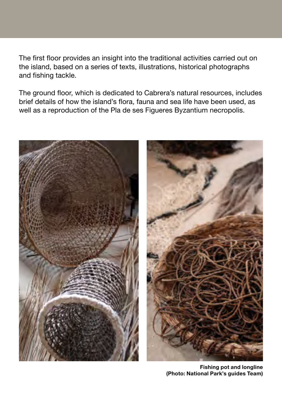The first floor provides an insight into the traditional activities carried out on the island, based on a series of texts, illustrations, historical photographs and fishing tackle.

The ground floor, which is dedicated to Cabrera's natural resources, includes brief details of how the island's flora, fauna and sea life have been used, as well as a reproduction of the Pla de ses Figueres Byzantium necropolis.



**Fishing pot and longline (Photo: National Park's guides Team)**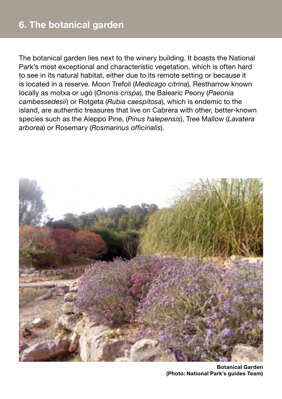The botanical garden lies next to the winery building. It boasts the National Park's most exceptional and characteristic vegetation, which is often hard to see in its natural habitat, either due to its remote setting or because it is located in a reserve. Moon Trefoil (*Medicago citrina*), Restharrow known locally as motxa or ugó (*Ononis crispa*), the Balearic Peony (*Paeonia cambessedesii*) or Rotgeta (*Rubia caespitosa*), which is endemic to the island, are authentic treasures that live on Cabrera with other, better-known species such as the Aleppo Pine, (*Pinus halepensis*), Tree Mallow (*Lavatera arborea*) or Rosemary (*Rosmarinus officinalis*).



**Botanical Garden (Photo: National Park's guides Team)**